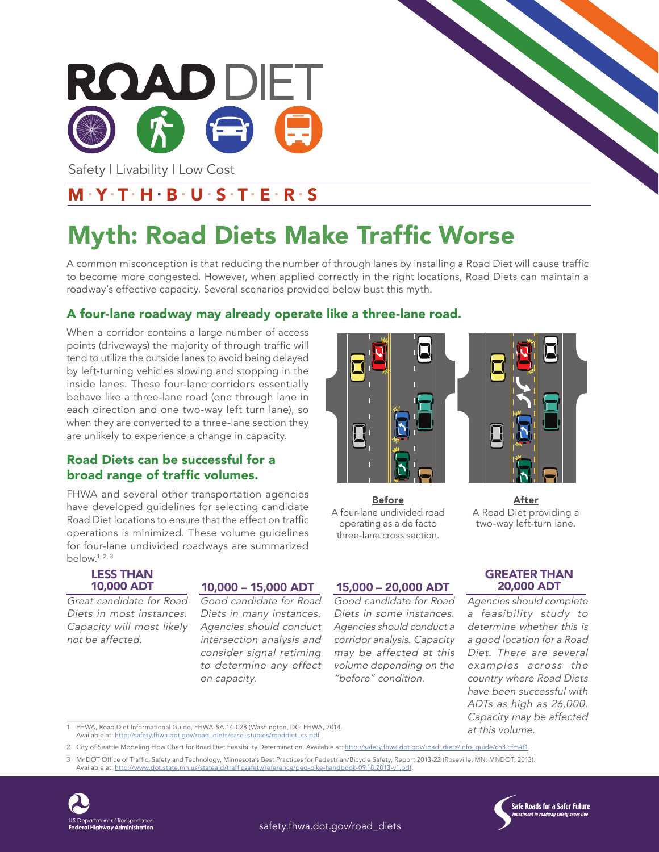

Safety | Livability | Low Cost

### $M Y T H B U S T E R S$

# Myth: Road Diets Make Traffic Worse

A common misconception is that reducing the number of through lanes by installing a Road Diet will cause traffic to become more congested. However, when applied correctly in the right locations, Road Diets can maintain a roadway's effective capacity. Several scenarios provided below bust this myth.

### A four-lane roadway may already operate like a three-lane road.

When a corridor contains a large number of access points (driveways) the majority of through traffic will tend to utilize the outside lanes to avoid being delayed by left-turning vehicles slowing and stopping in the inside lanes. These four-lane corridors essentially behave like a three-lane road (one through lane in each direction and one two-way left turn lane), so when they are converted to a three-lane section they are unlikely to experience a change in capacity.

### Road Diets can be successful for a broad range of traffic volumes.

FHWA and several other transportation agencies have developed guidelines for selecting candidate Road Diet locations to ensure that the effect on traffic operations is minimized. These volume guidelines for four-lane undivided roadways are summarized below.1, 2, 3

#### LESS THAN 10,000 ADT

Great candidate for Road Diets in most instances. Capacity will most likely not be affected.

### 10,000 – 15,000 ADT

Good candidate for Road Diets in many instances. Agencies should conduct intersection analysis and consider signal retiming to determine any effect on capacity.

# Before

A four-lane undivided road operating as a de facto three-lane cross section.

Good candidate for Road Diets in some instances. Agencies should conduct a corridor analysis. Capacity may be affected at this volume depending on the "before" condition.



After A Road Diet providing a two-way left-turn lane.

15,000 – 20,000 ADT

GREATER THAN 20,000 ADT

Agencies should complete a feasibility study to determine whether this is a good location for a Road Diet. There are several examples across the country where Road Diets have been successful with ADTs as high as 26,000. Capacity may be affected at this volume.

1 FHWA, Road Diet Informational Guide, FHWA-SA-14-028 (Washington, DC: FHWA, 2014. Available at: http://safety.fhwa.dot.gov/road\_diets/case\_studies/roaddiet\_cs.pdf.

- 2 City of Seattle Modeling Flow Chart for Road Diet Feasibility Determination. Available at: http://safety.fhwa.dot.gov/road\_diets/info\_guide/ch3.cfm#f1
- 3 MnDOT Office of Traffic, Safety and Technology, Minnesota's Best Practices for Pedestrian/Bicycle Safety, Report 2013-22 (Roseville, MN: MNDOT, 2013).<br>Available at: <u>http://www.dot.state.mn.us/stateaid/trafficsafety/refe</u>